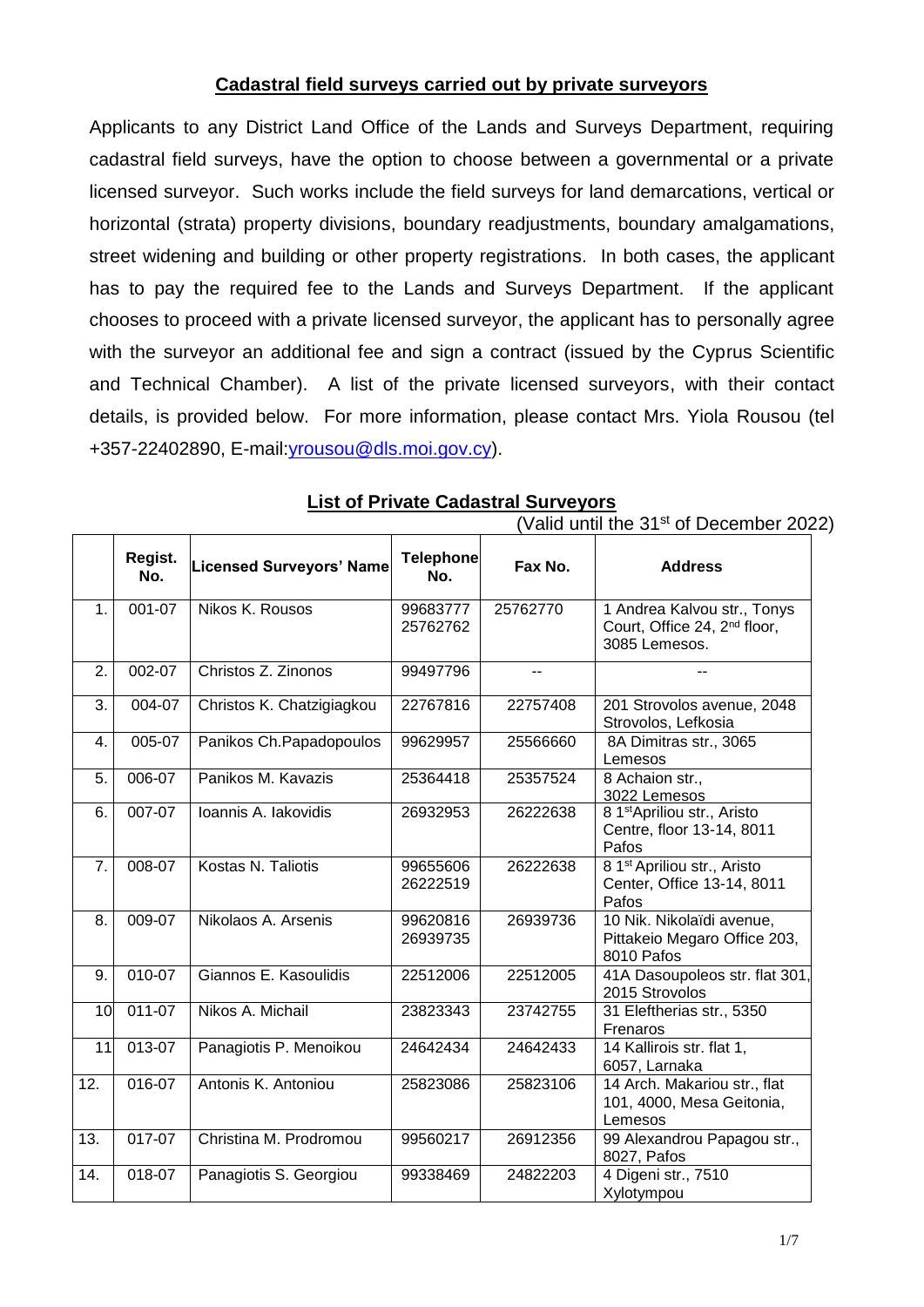## **Cadastral field surveys carried out by private surveyors**

Applicants to any District Land Office of the Lands and Surveys Department, requiring cadastral field surveys, have the option to choose between a governmental or a private licensed surveyor. Such works include the field surveys for land demarcations, vertical or horizontal (strata) property divisions, boundary readjustments, boundary amalgamations, street widening and building or other property registrations. In both cases, the applicant has to pay the required fee to the Lands and Surveys Department. If the applicant chooses to proceed with a private licensed surveyor, the applicant has to personally agree with the surveyor an additional fee and sign a contract (issued by the Cyprus Scientific and Technical Chamber). A list of the private licensed surveyors, with their contact details, is provided below. For more information, please contact Mrs. Yiola Rousou (tel +357-22402890, E-mail[:yrousou@dls.moi.gov.cy\)](mailto:yrousou@dls.moi.gov.cy).

|                |                |                                 |                         |                | Vally until the 31 <sup>th</sup> of December 202                                         |
|----------------|----------------|---------------------------------|-------------------------|----------------|------------------------------------------------------------------------------------------|
|                | Regist.<br>No. | <b>Licensed Surveyors' Name</b> | <b>Telephone</b><br>No. | Fax No.        | <b>Address</b>                                                                           |
| 1 <sub>1</sub> | 001-07         | Nikos K. Rousos                 | 99683777<br>25762762    | 25762770       | 1 Andrea Kalvou str., Tonys<br>Court, Office 24, 2 <sup>nd</sup> floor,<br>3085 Lemesos. |
| 2.             | 002-07         | Christos Z. Zinonos             | 99497796                | $\overline{a}$ | $-$                                                                                      |
| 3.             | 004-07         | Christos K. Chatzigiagkou       | 22767816                | 22757408       | 201 Strovolos avenue, 2048<br>Strovolos, Lefkosia                                        |
| 4.             | 005-07         | Panikos Ch. Papadopoulos        | 99629957                | 25566660       | 8A Dimitras str., 3065<br>Lemesos                                                        |
| 5.             | 006-07         | Panikos M. Kavazis              | 25364418                | 25357524       | 8 Achaion str.,<br>3022 Lemesos                                                          |
| 6.             | 007-07         | Ioannis A. lakovidis            | 26932953                | 26222638       | 8 1 <sup>st</sup> Apriliou str., Aristo<br>Centre, floor 13-14, 8011<br>Pafos            |
| 7.             | 008-07         | Kostas N. Taliotis              | 99655606<br>26222519    | 26222638       | 8 1 <sup>st</sup> Apriliou str., Aristo<br>Center, Office 13-14, 8011<br>Pafos           |
| 8.             | 009-07         | Nikolaos A. Arsenis             | 99620816<br>26939735    | 26939736       | 10 Nik. Nikolaïdi avenue,<br>Pittakeio Megaro Office 203,<br>8010 Pafos                  |
| 9.             | 010-07         | Giannos E. Kasoulidis           | 22512006                | 22512005       | 41A Dasoupoleos str. flat 301,<br>2015 Strovolos                                         |
| 10             | $011-07$       | Nikos A. Michail                | 23823343                | 23742755       | 31 Eleftherias str., 5350<br>Frenaros                                                    |
| 11             | $013-07$       | Panagiotis P. Menoikou          | 24642434                | 24642433       | 14 Kallirois str. flat 1,<br>6057, Larnaka                                               |
| 12.            | 016-07         | Antonis K. Antoniou             | 25823086                | 25823106       | 14 Arch. Makariou str., flat<br>101, 4000, Mesa Geitonia,<br>Lemesos                     |
| 13.            | 017-07         | Christina M. Prodromou          | 99560217                | 26912356       | 99 Alexandrou Papagou str.,<br>8027, Pafos                                               |
| 14.            | 018-07         | Panagiotis S. Georgiou          | 99338469                | 24822203       | 4 Digeni str., 7510<br>Xylotympou                                                        |

## **List of Private Cadastral Surveyors**

(Valid until the 31st of December 2022)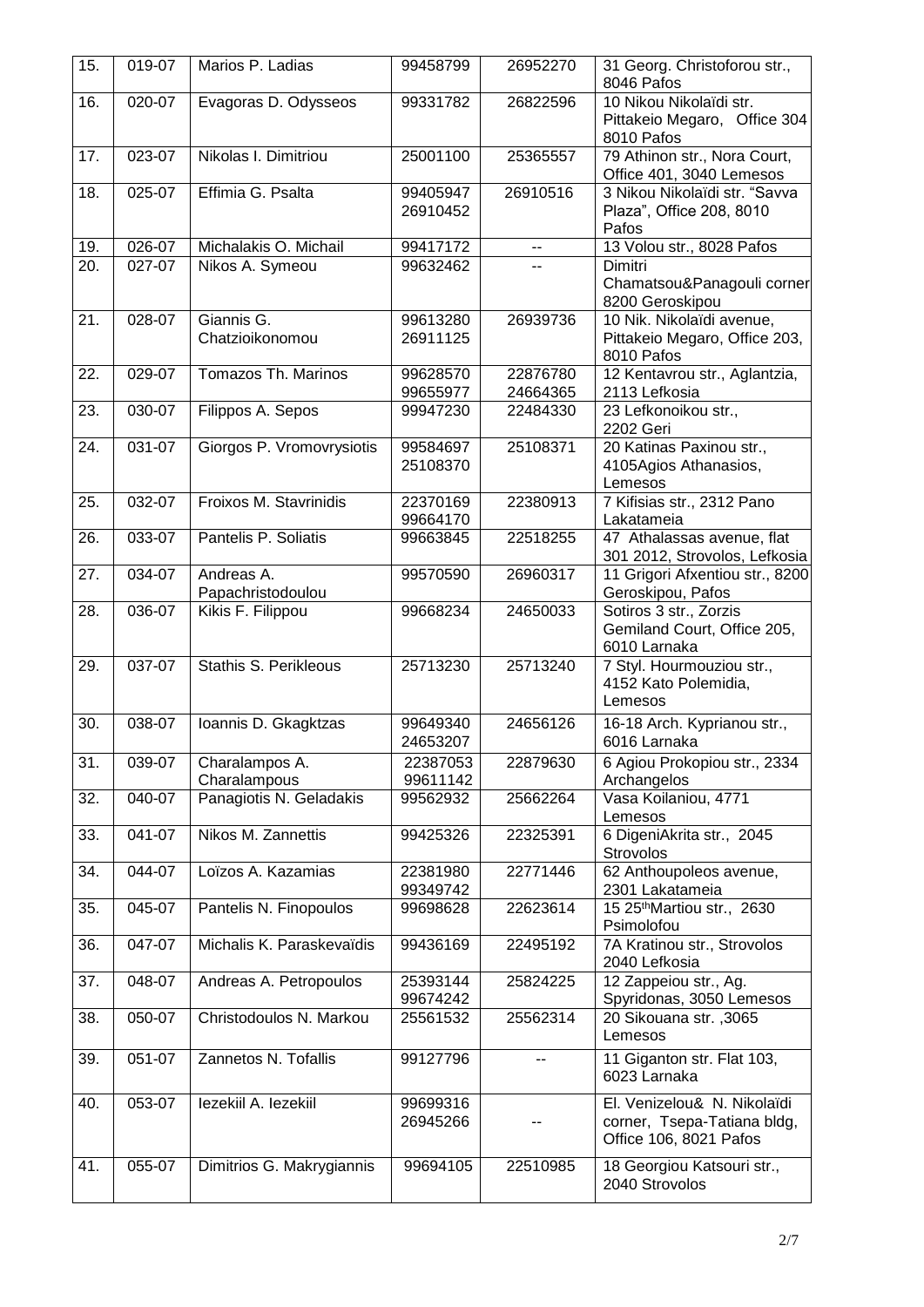| 15. | 019-07 | Marios P. Ladias                | 99458799             | 26952270                 | 31 Georg. Christoforou str.,<br>8046 Pafos                                           |
|-----|--------|---------------------------------|----------------------|--------------------------|--------------------------------------------------------------------------------------|
| 16. | 020-07 | Evagoras D. Odysseos            | 99331782             | 26822596                 | 10 Nikou Nikolaïdi str.<br>Pittakeio Megaro, Office 304<br>8010 Pafos                |
| 17. | 023-07 | Nikolas I. Dimitriou            | 25001100             | 25365557                 | 79 Athinon str., Nora Court,<br>Office 401, 3040 Lemesos                             |
| 18. | 025-07 | Effimia G. Psalta               | 99405947<br>26910452 | 26910516                 | 3 Nikou Nikolaïdi str. "Savva<br>Plaza", Office 208, 8010<br>Pafos                   |
| 19. | 026-07 | Michalakis O. Michail           | 99417172             | $\overline{\phantom{a}}$ | 13 Volou str., 8028 Pafos                                                            |
| 20. | 027-07 | Nikos A. Symeou                 | 99632462             | $\overline{a}$           | Dimitri<br>Chamatsou&Panagouli corner<br>8200 Geroskipou                             |
| 21. | 028-07 | Giannis G.<br>Chatzioikonomou   | 99613280<br>26911125 | 26939736                 | 10 Nik. Nikolaïdi avenue,<br>Pittakeio Megaro, Office 203,<br>8010 Pafos             |
| 22. | 029-07 | Tomazos Th. Marinos             | 99628570<br>99655977 | 22876780<br>24664365     | 12 Kentavrou str., Aglantzia,<br>2113 Lefkosia                                       |
| 23. | 030-07 | Filippos A. Sepos               | 99947230             | 22484330                 | 23 Lefkonoikou str.,<br>2202 Geri                                                    |
| 24. | 031-07 | Giorgos P. Vromovrysiotis       | 99584697<br>25108370 | 25108371                 | 20 Katinas Paxinou str.,<br>4105Agios Athanasios,<br>Lemesos                         |
| 25. | 032-07 | Froixos M. Stavrinidis          | 22370169<br>99664170 | 22380913                 | 7 Kifisias str., 2312 Pano<br>Lakatameia                                             |
| 26. | 033-07 | Pantelis P. Soliatis            | 99663845             | 22518255                 | 47 Athalassas avenue, flat<br>301 2012, Strovolos, Lefkosia                          |
| 27. | 034-07 | Andreas A.<br>Papachristodoulou | 99570590             | 26960317                 | 11 Grigori Afxentiou str., 8200<br>Geroskipou, Pafos                                 |
| 28. | 036-07 | Kikis F. Filippou               | 99668234             | 24650033                 | Sotiros 3 str., Zorzis<br>Gemiland Court, Office 205,<br>6010 Larnaka                |
| 29. | 037-07 | Stathis S. Perikleous           | 25713230             | 25713240                 | 7 Styl. Hourmouziou str.,<br>4152 Kato Polemidia,<br>Lemesos                         |
| 30. | 038-07 | Ioannis D. Gkagktzas            | 99649340<br>24653207 | 24656126                 | 16-18 Arch. Kyprianou str.,<br>6016 Larnaka                                          |
| 31. | 039-07 | Charalampos A.<br>Charalampous  | 22387053<br>99611142 | 22879630                 | 6 Agiou Prokopiou str., 2334<br>Archangelos                                          |
| 32. | 040-07 | Panagiotis N. Geladakis         | 99562932             | 25662264                 | Vasa Koilaniou, 4771<br>Lemesos                                                      |
| 33. | 041-07 | Nikos M. Zannettis              | 99425326             | 22325391                 | 6 DigeniAkrita str., 2045<br>Strovolos                                               |
| 34. | 044-07 | Loïzos A. Kazamias              | 22381980<br>99349742 | 22771446                 | 62 Anthoupoleos avenue,<br>2301 Lakatameia                                           |
| 35. | 045-07 | Pantelis N. Finopoulos          | 99698628             | 22623614                 | 15 25 <sup>th</sup> Martiou str., 2630<br>Psimolofou                                 |
| 36. | 047-07 | Michalis K. Paraskevaïdis       | 99436169             | 22495192                 | 7A Kratinou str., Strovolos<br>2040 Lefkosia                                         |
| 37. | 048-07 | Andreas A. Petropoulos          | 25393144<br>99674242 | 25824225                 | 12 Zappeiou str., Ag.<br>Spyridonas, 3050 Lemesos                                    |
| 38. | 050-07 | Christodoulos N. Markou         | 25561532             | 25562314                 | 20 Sikouana str., 3065<br>Lemesos                                                    |
| 39. | 051-07 | Zannetos N. Tofallis            | 99127796             | $\overline{a}$           | 11 Giganton str. Flat 103,<br>6023 Larnaka                                           |
| 40. | 053-07 | lezekiil A. lezekiil            | 99699316<br>26945266 |                          | El. Venizelou& N. Nikolaïdi<br>corner, Tsepa-Tatiana bldg,<br>Office 106, 8021 Pafos |
| 41. | 055-07 | Dimitrios G. Makrygiannis       | 99694105             | 22510985                 | 18 Georgiou Katsouri str.,<br>2040 Strovolos                                         |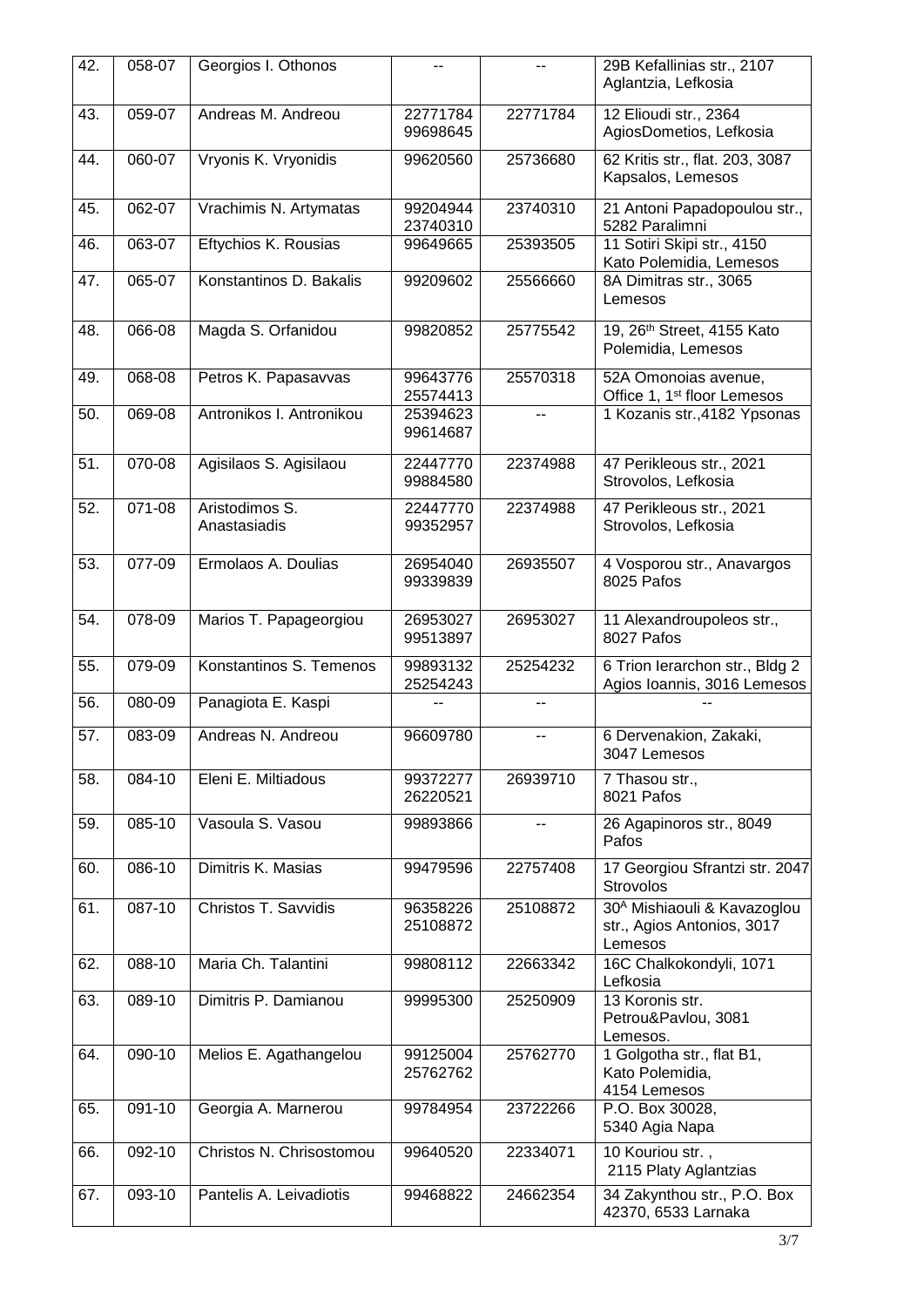| 42. | 058-07              | Georgios I. Othonos            | --                   | н.                       | 29B Kefallinias str., 2107<br>Aglantzia, Lefkosia                                |
|-----|---------------------|--------------------------------|----------------------|--------------------------|----------------------------------------------------------------------------------|
| 43. | $\overline{0}59-07$ | Andreas M. Andreou             | 22771784<br>99698645 | 22771784                 | 12 Elioudi str., 2364<br>AgiosDometios, Lefkosia                                 |
| 44. | 060-07              | Vryonis K. Vryonidis           | 99620560             | 25736680                 | 62 Kritis str., flat. 203, 3087<br>Kapsalos, Lemesos                             |
| 45. | 062-07              | Vrachimis N. Artymatas         | 99204944<br>23740310 | 23740310                 | 21 Antoni Papadopoulou str.,<br>5282 Paralimni                                   |
| 46. | 063-07              | Eftychios K. Rousias           | 99649665             | 25393505                 | 11 Sotiri Skipi str., 4150<br>Kato Polemidia, Lemesos                            |
| 47. | 065-07              | Konstantinos D. Bakalis        | 99209602             | 25566660                 | 8A Dimitras str., 3065<br>Lemesos                                                |
| 48. | 066-08              | Magda S. Orfanidou             | 99820852             | 25775542                 | 19, 26 <sup>th</sup> Street, 4155 Kato<br>Polemidia, Lemesos                     |
| 49. | 068-08              | Petros K. Papasavvas           | 99643776<br>25574413 | 25570318                 | 52A Omonoias avenue,<br>Office 1, 1 <sup>st</sup> floor Lemesos                  |
| 50. | 069-08              | Antronikos I. Antronikou       | 25394623<br>99614687 | $-$                      | 1 Kozanis str., 4182 Ypsonas                                                     |
| 51. | 070-08              | Agisilaos S. Agisilaou         | 22447770<br>99884580 | 22374988                 | 47 Perikleous str., 2021<br>Strovolos, Lefkosia                                  |
| 52. | 071-08              | Aristodimos S.<br>Anastasiadis | 22447770<br>99352957 | 22374988                 | 47 Perikleous str., 2021<br>Strovolos, Lefkosia                                  |
| 53. | 077-09              | Ermolaos A. Doulias            | 26954040<br>99339839 | 26935507                 | 4 Vosporou str., Anavargos<br>8025 Pafos                                         |
| 54. | 078-09              | Marios T. Papageorgiou         | 26953027<br>99513897 | 26953027                 | 11 Alexandroupoleos str.,<br>8027 Pafos                                          |
| 55. | 079-09              | Konstantinos S. Temenos        | 99893132<br>25254243 | 25254232                 | 6 Trion lerarchon str., Bldg 2<br>Agios Ioannis, 3016 Lemesos                    |
| 56. | 080-09              | Panagiota E. Kaspi             |                      | --                       |                                                                                  |
| 57. | 083-09              | Andreas N. Andreou             | 96609780             | $\overline{\phantom{a}}$ | 6 Dervenakion, Zakaki,<br>3047 Lemesos                                           |
| 58. | 084-10              | Eleni E. Miltiadous            | 99372277<br>26220521 | 26939710                 | 7 Thasou str.,<br>8021 Pafos                                                     |
| 59. | 085-10              | Vasoula S. Vasou               | 99893866             |                          | 26 Agapinoros str., 8049<br>Pafos                                                |
| 60. | 086-10              | Dimitris K. Masias             | 99479596             | 22757408                 | 17 Georgiou Sfrantzi str. 2047<br>Strovolos                                      |
| 61. | 087-10              | Christos T. Savvidis           | 96358226<br>25108872 | 25108872                 | 30 <sup>A</sup> Mishiaouli & Kavazoglou<br>str., Agios Antonios, 3017<br>Lemesos |
| 62. | 088-10              | Maria Ch. Talantini            | 99808112             | 22663342                 | 16C Chalkokondyli, 1071<br>Lefkosia                                              |
| 63. | 089-10              | Dimitris P. Damianou           | 99995300             | 25250909                 | 13 Koronis str.<br>Petrou&Pavlou, 3081<br>Lemesos.                               |
| 64. | 090-10              | Melios E. Agathangelou         | 99125004<br>25762762 | 25762770                 | 1 Golgotha str., flat B1,<br>Kato Polemidia,<br>4154 Lemesos                     |
| 65. | 091-10              | Georgia A. Marnerou            | 99784954             | 23722266                 | P.O. Box 30028,<br>5340 Agia Napa                                                |
| 66. | 092-10              | Christos N. Chrisostomou       | 99640520             | 22334071                 | 10 Kouriou str.,<br>2115 Platy Aglantzias                                        |
| 67. | 093-10              | Pantelis A. Leivadiotis        | 99468822             | 24662354                 | 34 Zakynthou str., P.O. Box<br>42370, 6533 Larnaka                               |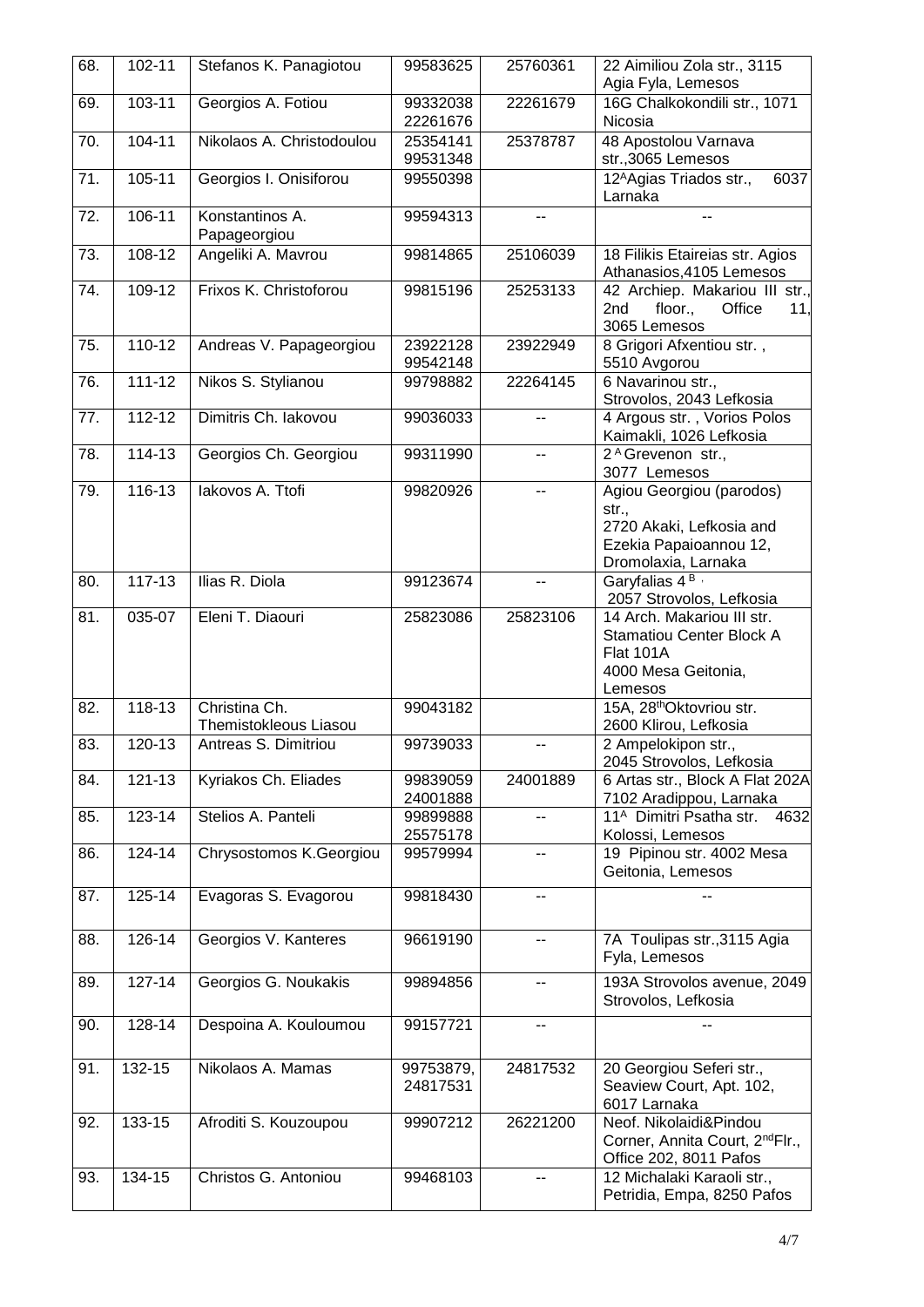| 68. | 102-11     | Stefanos K. Panagiotou                 | 99583625              | 25760361       | 22 Aimiliou Zola str., 3115<br>Agia Fyla, Lemesos                                                              |
|-----|------------|----------------------------------------|-----------------------|----------------|----------------------------------------------------------------------------------------------------------------|
| 69. | 103-11     | Georgios A. Fotiou                     | 99332038<br>22261676  | 22261679       | 16G Chalkokondili str., 1071<br>Nicosia                                                                        |
| 70. | 104-11     | Nikolaos A. Christodoulou              | 25354141<br>99531348  | 25378787       | 48 Apostolou Varnava<br>str.,3065 Lemesos                                                                      |
| 71. | 105-11     | Georgios I. Onisiforou                 | 99550398              |                | 12 <sup>A</sup> Agias Triados str.,<br>6037<br>Larnaka                                                         |
| 72. | $106 - 11$ | Konstantinos A.<br>Papageorgiou        | 99594313              | --             |                                                                                                                |
| 73. | 108-12     | Angeliki A. Mavrou                     | 99814865              | 25106039       | 18 Filikis Etaireias str. Agios<br>Athanasios, 4105 Lemesos                                                    |
| 74. | 109-12     | Frixos K. Christoforou                 | 99815196              | 25253133       | 42 Archiep. Makariou III str.,<br>floor.,<br>Office<br>2nd<br>11.<br>3065 Lemesos                              |
| 75. | $110 - 12$ | Andreas V. Papageorgiou                | 23922128<br>99542148  | 23922949       | 8 Grigori Afxentiou str.,<br>5510 Avgorou                                                                      |
| 76. | $111 - 12$ | Nikos S. Stylianou                     | 99798882              | 22264145       | 6 Navarinou str.,<br>Strovolos, 2043 Lefkosia                                                                  |
| 77. | 112-12     | Dimitris Ch. lakovou                   | 99036033              | --             | 4 Argous str., Vorios Polos<br>Kaimakli, 1026 Lefkosia                                                         |
| 78. | $114 - 13$ | Georgios Ch. Georgiou                  | 99311990              | $\overline{a}$ | 2 <sup>A</sup> Grevenon str.,<br>3077 Lemesos                                                                  |
| 79. | $116 - 13$ | lakovos A. Ttofi                       | 99820926              | $\overline{a}$ | Agiou Georgiou (parodos)<br>str.,<br>2720 Akaki, Lefkosia and<br>Ezekia Papaioannou 12,<br>Dromolaxia, Larnaka |
| 80. | 117-13     | Ilias R. Diola                         | 99123674              | н.             | Garyfalias 4 <sup>B</sup><br>2057 Strovolos, Lefkosia                                                          |
| 81. | 035-07     | Eleni T. Diaouri                       | 25823086              | 25823106       | 14 Arch. Makariou III str.<br><b>Stamatiou Center Block A</b><br>Flat 101A<br>4000 Mesa Geitonia,<br>Lemesos   |
| 82. | $118 - 13$ | Christina Ch.<br>Themistokleous Liasou | 99043182              |                | 15A, 28 <sup>th</sup> Oktovriou str.<br>2600 Klirou, Lefkosia                                                  |
| 83. | 120-13     | Antreas S. Dimitriou                   | 99739033              | --             | 2 Ampelokipon str.,<br>2045 Strovolos, Lefkosia                                                                |
| 84. | 121-13     | Kyriakos Ch. Eliades                   | 99839059<br>24001888  | 24001889       | 6 Artas str., Block A Flat 202A<br>7102 Aradippou, Larnaka                                                     |
| 85. | 123-14     | Stelios A. Panteli                     | 99899888<br>25575178  |                | 11 <sup>A</sup> Dimitri Psatha str.<br>4632<br>Kolossi, Lemesos                                                |
| 86. | 124-14     | Chrysostomos K.Georgiou                | 99579994              | --             | 19 Pipinou str. 4002 Mesa<br>Geitonia, Lemesos                                                                 |
| 87. | 125-14     | Evagoras S. Evagorou                   | 99818430              | --             |                                                                                                                |
| 88. | 126-14     | Georgios V. Kanteres                   | 96619190              | --             | 7A Toulipas str., 3115 Agia<br>Fyla, Lemesos                                                                   |
| 89. | 127-14     | Georgios G. Noukakis                   | 99894856              | --             | 193A Strovolos avenue, 2049<br>Strovolos, Lefkosia                                                             |
| 90. | 128-14     | Despoina A. Kouloumou                  | 99157721              | --             |                                                                                                                |
| 91. | 132-15     | Nikolaos A. Mamas                      | 99753879,<br>24817531 | 24817532       | 20 Georgiou Seferi str.,<br>Seaview Court, Apt. 102,<br>6017 Larnaka                                           |
| 92. | 133-15     | Afroditi S. Kouzoupou                  | 99907212              | 26221200       | Neof. Nikolaidi&Pindou<br>Corner, Annita Court, 2 <sup>nd</sup> Flr.,<br>Office 202, 8011 Pafos                |
| 93. | 134-15     | Christos G. Antoniou                   | 99468103              | --             | 12 Michalaki Karaoli str.,<br>Petridia, Empa, 8250 Pafos                                                       |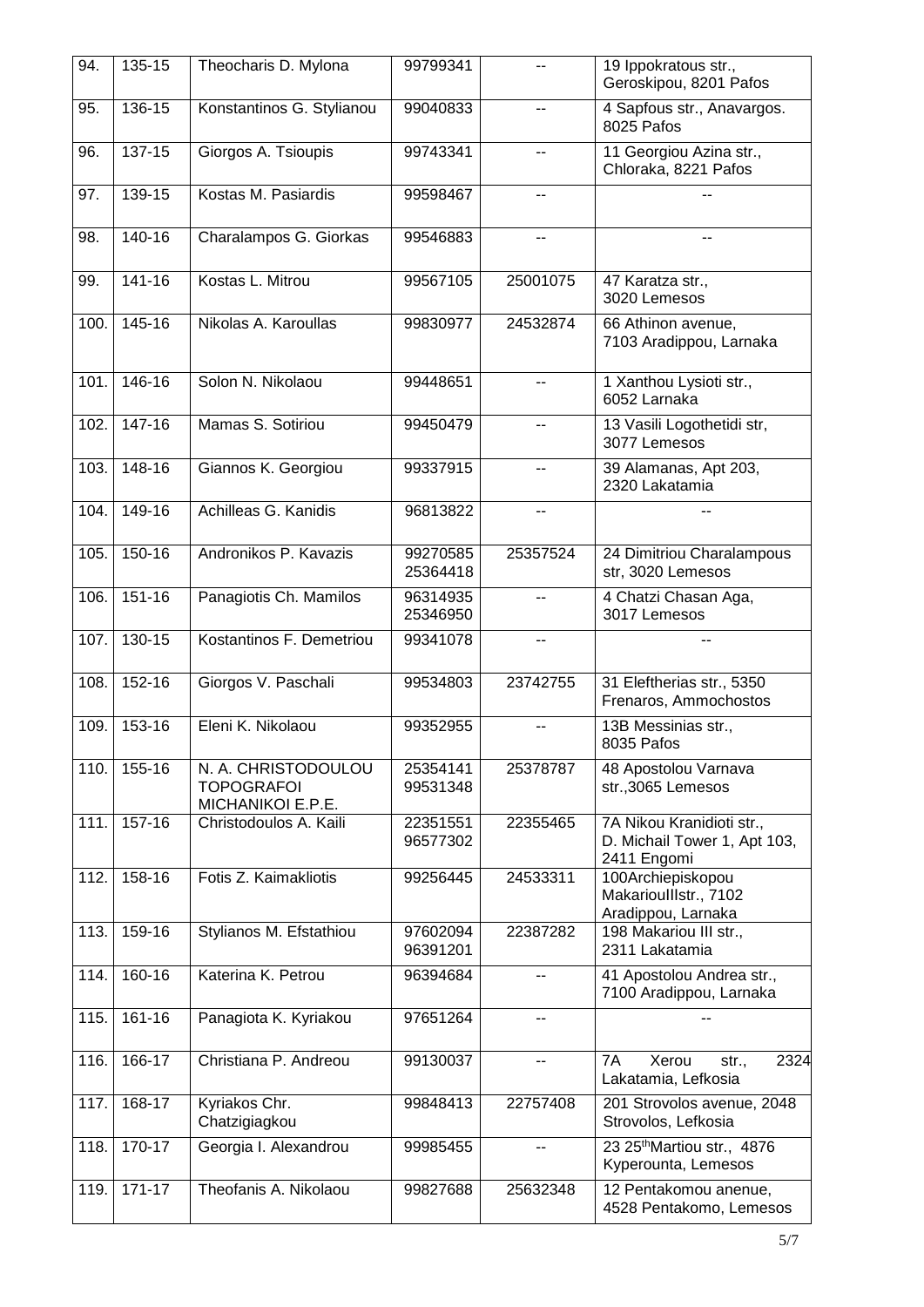| 94.  | 135-15     | Theocharis D. Mylona                                          | 99799341             | --             | 19 Ippokratous str.,<br>Geroskipou, 8201 Pafos                           |
|------|------------|---------------------------------------------------------------|----------------------|----------------|--------------------------------------------------------------------------|
| 95.  | $136 - 15$ | Konstantinos G. Stylianou                                     | 99040833             | $\overline{a}$ | 4 Sapfous str., Anavargos.<br>8025 Pafos                                 |
| 96.  | $137 - 15$ | Giorgos A. Tsioupis                                           | 99743341             | --             | 11 Georgiou Azina str.,<br>Chloraka, 8221 Pafos                          |
| 97.  | 139-15     | Kostas M. Pasiardis                                           | 99598467             | --             |                                                                          |
| 98.  | $140 - 16$ | Charalampos G. Giorkas                                        | 99546883             | н.             |                                                                          |
| 99.  | 141-16     | Kostas L. Mitrou                                              | 99567105             | 25001075       | 47 Karatza str.,<br>3020 Lemesos                                         |
| 100. | $145 - 16$ | Nikolas A. Karoullas                                          | 99830977             | 24532874       | 66 Athinon avenue,<br>7103 Aradippou, Larnaka                            |
| 101. | $146 - 16$ | Solon N. Nikolaou                                             | 99448651             | $-$            | 1 Xanthou Lysioti str.,<br>6052 Larnaka                                  |
| 102. | 147-16     | Mamas S. Sotiriou                                             | 99450479             | --             | 13 Vasili Logothetidi str,<br>3077 Lemesos                               |
| 103. | $148 - 16$ | Giannos K. Georgiou                                           | 99337915             | --             | 39 Alamanas, Apt 203,<br>2320 Lakatamia                                  |
| 104. | 149-16     | Achilleas G. Kanidis                                          | 96813822             | $-$            |                                                                          |
| 105. | 150-16     | Andronikos P. Kavazis                                         | 99270585<br>25364418 | 25357524       | 24 Dimitriou Charalampous<br>str, 3020 Lemesos                           |
| 106. | 151-16     | Panagiotis Ch. Mamilos                                        | 96314935<br>25346950 | --             | 4 Chatzi Chasan Aga,<br>3017 Lemesos                                     |
| 107. | 130-15     | Kostantinos F. Demetriou                                      | 99341078             | $\overline{a}$ |                                                                          |
| 108. | 152-16     | Giorgos V. Paschali                                           | 99534803             | 23742755       | 31 Eleftherias str., 5350<br>Frenaros, Ammochostos                       |
| 109. | 153-16     | Eleni K. Nikolaou                                             | 99352955             |                | 13B Messinias str.,<br>8035 Pafos                                        |
| 110. | 155-16     | N. A. CHRISTODOULOU<br><b>TOPOGRAFOI</b><br>MICHANIKOI E.P.E. | 25354141<br>99531348 | 25378787       | 48 Apostolou Varnava<br>str.,3065 Lemesos                                |
| 111. | 157-16     | Christodoulos A. Kaili                                        | 22351551<br>96577302 | 22355465       | 7A Nikou Kranidioti str.,<br>D. Michail Tower 1, Apt 103,<br>2411 Engomi |
| 112. | 158-16     | Fotis Z. Kaimakliotis                                         | 99256445             | 24533311       | 100Archiepiskopou<br>MakarioullIstr., 7102<br>Aradippou, Larnaka         |
| 113. | 159-16     | Stylianos M. Efstathiou                                       | 97602094<br>96391201 | 22387282       | 198 Makariou III str.,<br>2311 Lakatamia                                 |
| 114. | 160-16     | Katerina K. Petrou                                            | 96394684             | --             | 41 Apostolou Andrea str.,<br>7100 Aradippou, Larnaka                     |
| 115. | 161-16     | Panagiota K. Kyriakou                                         | 97651264             | --             |                                                                          |
| 116. | 166-17     | Christiana P. Andreou                                         | 99130037             | --             | 7A<br>Xerou<br>2324<br>str.,<br>Lakatamia, Lefkosia                      |
| 117. | 168-17     | Kyriakos Chr.<br>Chatzigiagkou                                | 99848413             | 22757408       | 201 Strovolos avenue, 2048<br>Strovolos, Lefkosia                        |
| 118. | 170-17     | Georgia I. Alexandrou                                         | 99985455             | --             | 23 25 <sup>th</sup> Martiou str., 4876<br>Kyperounta, Lemesos            |
| 119. | $171 - 17$ | Theofanis A. Nikolaou                                         | 99827688             | 25632348       | 12 Pentakomou anenue,<br>4528 Pentakomo, Lemesos                         |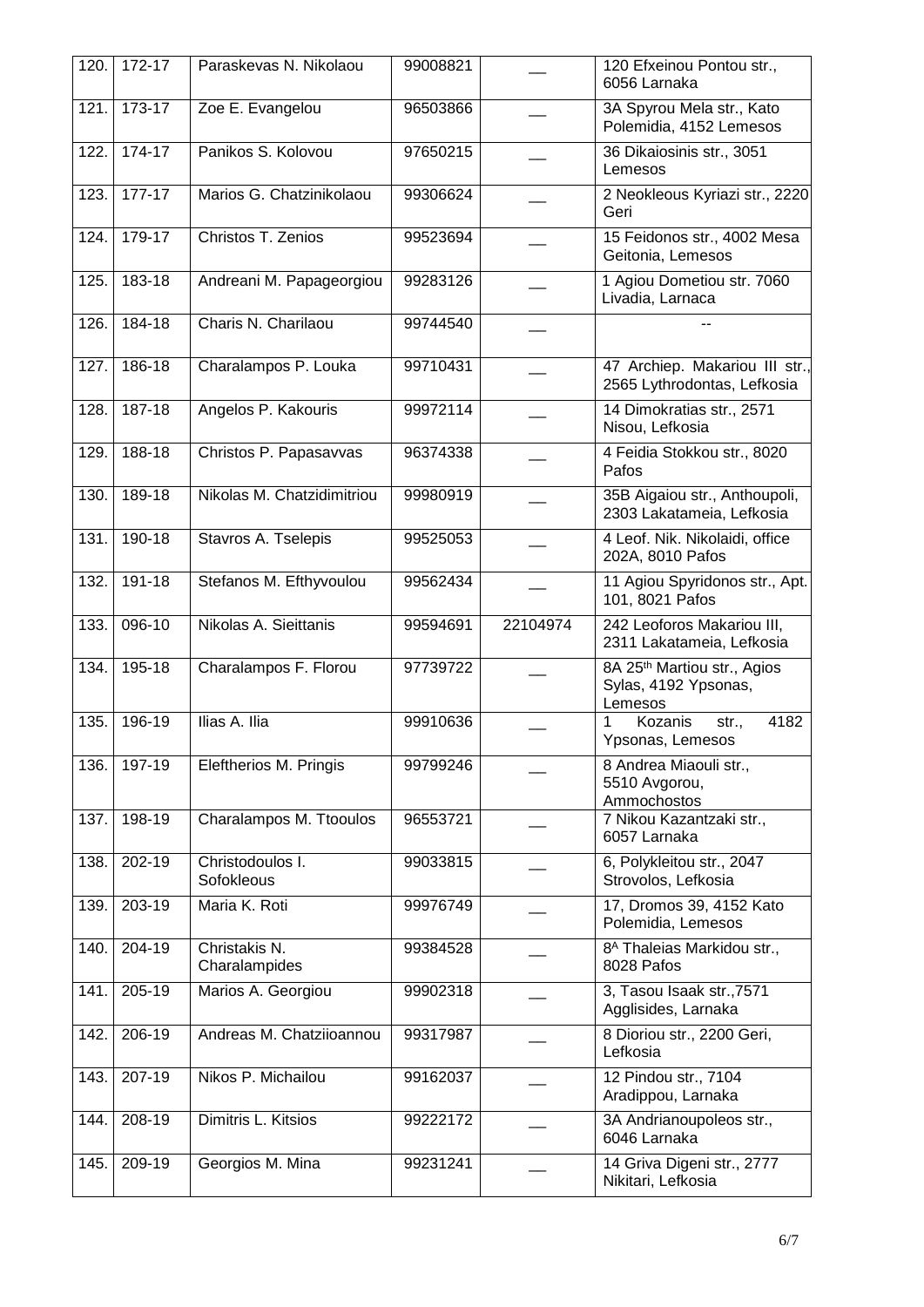| 120. | 172-17     | Paraskevas N. Nikolaou         | 99008821 |          | 120 Efxeinou Pontou str.,<br>6056 Larnaka                                  |
|------|------------|--------------------------------|----------|----------|----------------------------------------------------------------------------|
| 121. | $173-17$   | Zoe E. Evangelou               | 96503866 |          | 3A Spyrou Mela str., Kato<br>Polemidia, 4152 Lemesos                       |
| 122. | $174 - 17$ | Panikos S. Kolovou             | 97650215 |          | 36 Dikaiosinis str., 3051<br>Lemesos                                       |
| 123. | 177-17     | Marios G. Chatzinikolaou       | 99306624 |          | 2 Neokleous Kyriazi str., 2220<br>Geri                                     |
| 124. | 179-17     | Christos T. Zenios             | 99523694 |          | 15 Feidonos str., 4002 Mesa<br>Geitonia, Lemesos                           |
| 125. | 183-18     | Andreani M. Papageorgiou       | 99283126 |          | 1 Agiou Dometiou str. 7060<br>Livadia, Larnaca                             |
| 126. | 184-18     | Charis N. Charilaou            | 99744540 |          |                                                                            |
| 127. | 186-18     | Charalampos P. Louka           | 99710431 |          | 47 Archiep. Makariou III str.,<br>2565 Lythrodontas, Lefkosia              |
| 128. | 187-18     | Angelos P. Kakouris            | 99972114 |          | 14 Dimokratias str., 2571<br>Nisou, Lefkosia                               |
| 129. | 188-18     | Christos P. Papasavvas         | 96374338 |          | 4 Feidia Stokkou str., 8020<br>Pafos                                       |
| 130. | 189-18     | Nikolas M. Chatzidimitriou     | 99980919 |          | 35B Aigaiou str., Anthoupoli,<br>2303 Lakatameia, Lefkosia                 |
| 131. | 190-18     | Stavros A. Tselepis            | 99525053 |          | 4 Leof. Nik. Nikolaidi, office<br>202A, 8010 Pafos                         |
| 132. | 191-18     | Stefanos M. Efthyvoulou        | 99562434 |          | 11 Agiou Spyridonos str., Apt.<br>101, 8021 Pafos                          |
| 133. | 096-10     | Nikolas A. Sieittanis          | 99594691 | 22104974 | 242 Leoforos Makariou III,<br>2311 Lakatameia, Lefkosia                    |
| 134. | 195-18     | Charalampos F. Florou          | 97739722 |          | 8A 25 <sup>th</sup> Martiou str., Agios<br>Sylas, 4192 Ypsonas,<br>Lemesos |
| 135. | 196-19     | Ilias A. Ilia                  | 99910636 |          | Kozanis<br>4182<br>1<br>str.,<br>Ypsonas, Lemesos                          |
| 136. | 197-19     | Eleftherios M. Pringis         | 99799246 |          | 8 Andrea Miaouli str.,<br>5510 Avgorou,<br>Ammochostos                     |
| 137. | 198-19     | Charalampos M. Ttooulos        | 96553721 |          | 7 Nikou Kazantzaki str.,<br>6057 Larnaka                                   |
| 138. | 202-19     | Christodoulos I.<br>Sofokleous | 99033815 |          | 6, Polykleitou str., 2047<br>Strovolos, Lefkosia                           |
| 139. | 203-19     | Maria K. Roti                  | 99976749 |          | 17, Dromos 39, 4152 Kato<br>Polemidia, Lemesos                             |
| 140. | 204-19     | Christakis N.<br>Charalampides | 99384528 |          | 8 <sup>A</sup> Thaleias Markidou str.,<br>8028 Pafos                       |
| 141. | 205-19     | Marios A. Georgiou             | 99902318 |          | 3, Tasou Isaak str., 7571<br>Agglisides, Larnaka                           |
| 142. | 206-19     | Andreas M. Chatziioannou       | 99317987 |          | 8 Dioriou str., 2200 Geri,<br>Lefkosia                                     |
| 143. | 207-19     | Nikos P. Michailou             | 99162037 |          | 12 Pindou str., 7104<br>Aradippou, Larnaka                                 |
| 144. | 208-19     | Dimitris L. Kitsios            | 99222172 |          | 3A Andrianoupoleos str.,<br>6046 Larnaka                                   |
| 145. | 209-19     | Georgios M. Mina               | 99231241 |          | 14 Griva Digeni str., 2777<br>Nikitari, Lefkosia                           |